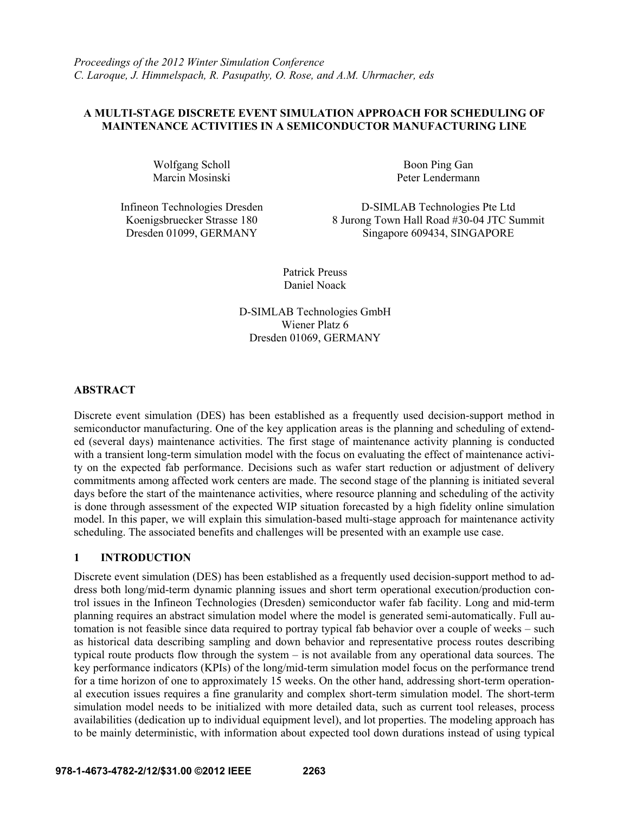# **A MULTI-STAGE DISCRETE EVENT SIMULATION APPROACH FOR SCHEDULING OF MAINTENANCE ACTIVITIES IN A SEMICONDUCTOR MANUFACTURING LINE**

Wolfgang Scholl Marcin Mosinski

Boon Ping Gan Peter Lendermann

Infineon Technologies Dresden D-SIMLAB Technologies Pte Ltd Koenigsbruecker Strasse 180 8 Jurong Town Hall Road #30-04 JTC Summit Dresden 01099, GERMANY Singapore 609434, SINGAPORE

> Patrick Preuss Daniel Noack

D-SIMLAB Technologies GmbH Wiener Platz 6 Dresden 01069, GERMANY

# **ABSTRACT**

Discrete event simulation (DES) has been established as a frequently used decision-support method in semiconductor manufacturing. One of the key application areas is the planning and scheduling of extended (several days) maintenance activities. The first stage of maintenance activity planning is conducted with a transient long-term simulation model with the focus on evaluating the effect of maintenance activity on the expected fab performance. Decisions such as wafer start reduction or adjustment of delivery commitments among affected work centers are made. The second stage of the planning is initiated several days before the start of the maintenance activities, where resource planning and scheduling of the activity is done through assessment of the expected WIP situation forecasted by a high fidelity online simulation model. In this paper, we will explain this simulation-based multi-stage approach for maintenance activity scheduling. The associated benefits and challenges will be presented with an example use case.

# **1 INTRODUCTION**

Discrete event simulation (DES) has been established as a frequently used decision-support method to address both long/mid-term dynamic planning issues and short term operational execution/production control issues in the Infineon Technologies (Dresden) semiconductor wafer fab facility. Long and mid-term planning requires an abstract simulation model where the model is generated semi-automatically. Full automation is not feasible since data required to portray typical fab behavior over a couple of weeks – such as historical data describing sampling and down behavior and representative process routes describing typical route products flow through the system – is not available from any operational data sources. The key performance indicators (KPIs) of the long/mid-term simulation model focus on the performance trend for a time horizon of one to approximately 15 weeks. On the other hand, addressing short-term operational execution issues requires a fine granularity and complex short-term simulation model. The short-term simulation model needs to be initialized with more detailed data, such as current tool releases, process availabilities (dedication up to individual equipment level), and lot properties. The modeling approach has to be mainly deterministic, with information about expected tool down durations instead of using typical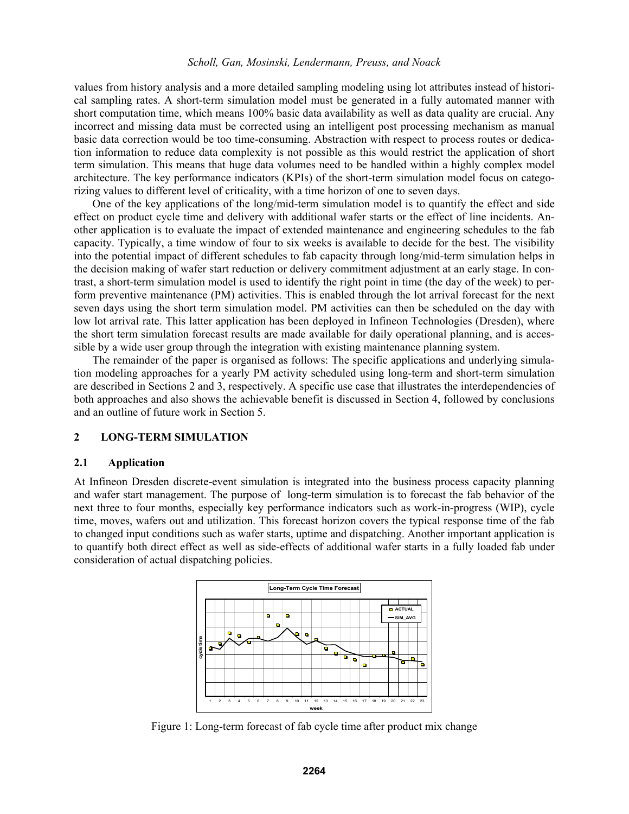values from history analysis and a more detailed sampling modeling using lot attributes instead of historical sampling rates. A short-term simulation model must be generated in a fully automated manner with short computation time, which means 100% basic data availability as well as data quality are crucial. Any incorrect and missing data must be corrected using an intelligent post processing mechanism as manual basic data correction would be too time-consuming. Abstraction with respect to process routes or dedication information to reduce data complexity is not possible as this would restrict the application of short term simulation. This means that huge data volumes need to be handled within a highly complex model architecture. The key performance indicators (KPIs) of the short-term simulation model focus on categorizing values to different level of criticality, with a time horizon of one to seven days.

One of the key applications of the long/mid-term simulation model is to quantify the effect and side effect on product cycle time and delivery with additional wafer starts or the effect of line incidents. Another application is to evaluate the impact of extended maintenance and engineering schedules to the fab capacity. Typically, a time window of four to six weeks is available to decide for the best. The visibility into the potential impact of different schedules to fab capacity through long/mid-term simulation helps in the decision making of wafer start reduction or delivery commitment adjustment at an early stage. In contrast, a short-term simulation model is used to identify the right point in time (the day of the week) to perform preventive maintenance (PM) activities. This is enabled through the lot arrival forecast for the next seven days using the short term simulation model. PM activities can then be scheduled on the day with low lot arrival rate. This latter application has been deployed in Infineon Technologies (Dresden), where the short term simulation forecast results are made available for daily operational planning, and is accessible by a wide user group through the integration with existing maintenance planning system.

The remainder of the paper is organised as follows: The specific applications and underlying simulation modeling approaches for a yearly PM activity scheduled using long-term and short-term simulation are described in Sections 2 and 3, respectively. A specific use case that illustrates the interdependencies of both approaches and also shows the achievable benefit is discussed in Section 4, followed by conclusions and an outline of future work in Section 5.

#### **2 LONG-TERM SIMULATION**

#### **2.1 Application**

At Infineon Dresden discrete-event simulation is integrated into the business process capacity planning and wafer start management. The purpose of long-term simulation is to forecast the fab behavior of the next three to four months, especially key performance indicators such as work-in-progress (WIP), cycle time, moves, wafers out and utilization. This forecast horizon covers the typical response time of the fab to changed input conditions such as wafer starts, uptime and dispatching. Another important application is to quantify both direct effect as well as side-effects of additional wafer starts in a fully loaded fab under consideration of actual dispatching policies.



Figure 1: Long-term forecast of fab cycle time after product mix change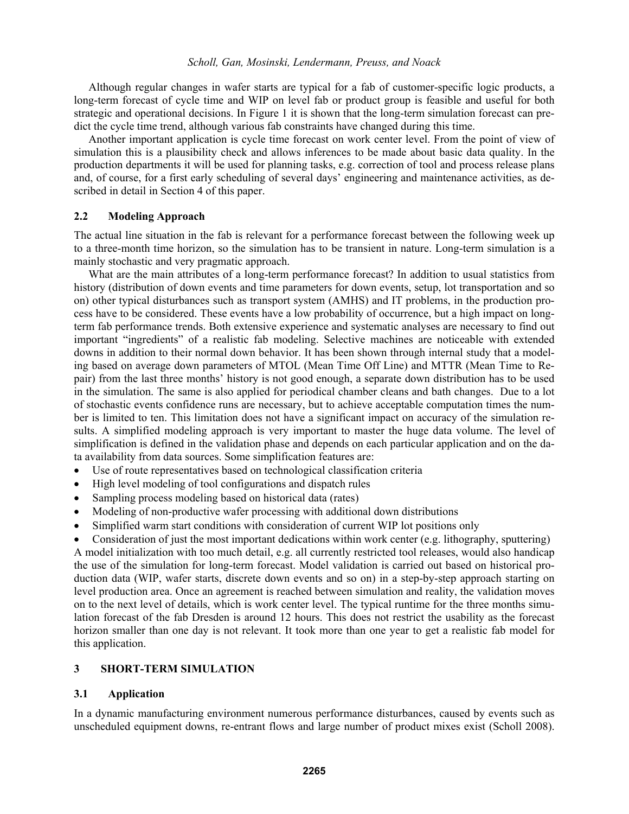Although regular changes in wafer starts are typical for a fab of customer-specific logic products, a long-term forecast of cycle time and WIP on level fab or product group is feasible and useful for both strategic and operational decisions. In Figure 1 it is shown that the long-term simulation forecast can predict the cycle time trend, although various fab constraints have changed during this time.

Another important application is cycle time forecast on work center level. From the point of view of simulation this is a plausibility check and allows inferences to be made about basic data quality. In the production departments it will be used for planning tasks, e.g. correction of tool and process release plans and, of course, for a first early scheduling of several days' engineering and maintenance activities, as described in detail in Section 4 of this paper.

### **2.2 Modeling Approach**

The actual line situation in the fab is relevant for a performance forecast between the following week up to a three-month time horizon, so the simulation has to be transient in nature. Long-term simulation is a mainly stochastic and very pragmatic approach.

What are the main attributes of a long-term performance forecast? In addition to usual statistics from history (distribution of down events and time parameters for down events, setup, lot transportation and so on) other typical disturbances such as transport system (AMHS) and IT problems, in the production process have to be considered. These events have a low probability of occurrence, but a high impact on longterm fab performance trends. Both extensive experience and systematic analyses are necessary to find out important "ingredients" of a realistic fab modeling. Selective machines are noticeable with extended downs in addition to their normal down behavior. It has been shown through internal study that a modeling based on average down parameters of MTOL (Mean Time Off Line) and MTTR (Mean Time to Repair) from the last three months' history is not good enough, a separate down distribution has to be used in the simulation. The same is also applied for periodical chamber cleans and bath changes. Due to a lot of stochastic events confidence runs are necessary, but to achieve acceptable computation times the number is limited to ten. This limitation does not have a significant impact on accuracy of the simulation results. A simplified modeling approach is very important to master the huge data volume. The level of simplification is defined in the validation phase and depends on each particular application and on the data availability from data sources. Some simplification features are:

- Use of route representatives based on technological classification criteria
- High level modeling of tool configurations and dispatch rules
- Sampling process modeling based on historical data (rates)
- Modeling of non-productive wafer processing with additional down distributions
- Simplified warm start conditions with consideration of current WIP lot positions only
- Consideration of just the most important dedications within work center (e.g. lithography, sputtering)

A model initialization with too much detail, e.g. all currently restricted tool releases, would also handicap the use of the simulation for long-term forecast. Model validation is carried out based on historical production data (WIP, wafer starts, discrete down events and so on) in a step-by-step approach starting on level production area. Once an agreement is reached between simulation and reality, the validation moves on to the next level of details, which is work center level. The typical runtime for the three months simulation forecast of the fab Dresden is around 12 hours. This does not restrict the usability as the forecast horizon smaller than one day is not relevant. It took more than one year to get a realistic fab model for this application.

# **3 SHORT-TERM SIMULATION**

#### **3.1 Application**

In a dynamic manufacturing environment numerous performance disturbances, caused by events such as unscheduled equipment downs, re-entrant flows and large number of product mixes exist (Scholl 2008).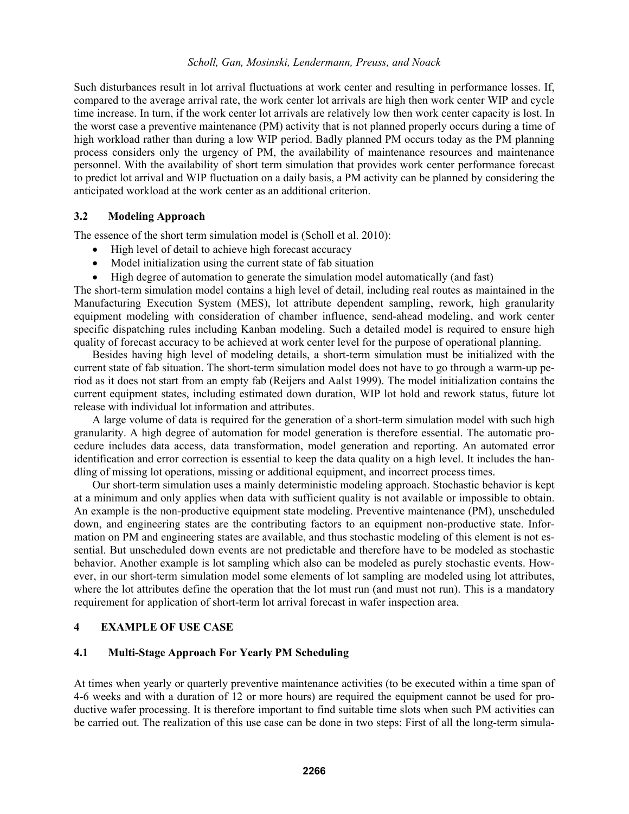Such disturbances result in lot arrival fluctuations at work center and resulting in performance losses. If, compared to the average arrival rate, the work center lot arrivals are high then work center WIP and cycle time increase. In turn, if the work center lot arrivals are relatively low then work center capacity is lost. In the worst case a preventive maintenance (PM) activity that is not planned properly occurs during a time of high workload rather than during a low WIP period. Badly planned PM occurs today as the PM planning process considers only the urgency of PM, the availability of maintenance resources and maintenance personnel. With the availability of short term simulation that provides work center performance forecast to predict lot arrival and WIP fluctuation on a daily basis, a PM activity can be planned by considering the anticipated workload at the work center as an additional criterion.

# **3.2 Modeling Approach**

The essence of the short term simulation model is (Scholl et al. 2010):

- High level of detail to achieve high forecast accuracy
- Model initialization using the current state of fab situation
- High degree of automation to generate the simulation model automatically (and fast)

The short-term simulation model contains a high level of detail, including real routes as maintained in the Manufacturing Execution System (MES), lot attribute dependent sampling, rework, high granularity equipment modeling with consideration of chamber influence, send-ahead modeling, and work center specific dispatching rules including Kanban modeling. Such a detailed model is required to ensure high quality of forecast accuracy to be achieved at work center level for the purpose of operational planning.

Besides having high level of modeling details, a short-term simulation must be initialized with the current state of fab situation. The short-term simulation model does not have to go through a warm-up period as it does not start from an empty fab (Reijers and Aalst 1999). The model initialization contains the current equipment states, including estimated down duration, WIP lot hold and rework status, future lot release with individual lot information and attributes.

A large volume of data is required for the generation of a short-term simulation model with such high granularity. A high degree of automation for model generation is therefore essential. The automatic procedure includes data access, data transformation, model generation and reporting. An automated error identification and error correction is essential to keep the data quality on a high level. It includes the handling of missing lot operations, missing or additional equipment, and incorrect process times.

Our short-term simulation uses a mainly deterministic modeling approach. Stochastic behavior is kept at a minimum and only applies when data with sufficient quality is not available or impossible to obtain. An example is the non-productive equipment state modeling. Preventive maintenance (PM), unscheduled down, and engineering states are the contributing factors to an equipment non-productive state. Information on PM and engineering states are available, and thus stochastic modeling of this element is not essential. But unscheduled down events are not predictable and therefore have to be modeled as stochastic behavior. Another example is lot sampling which also can be modeled as purely stochastic events. However, in our short-term simulation model some elements of lot sampling are modeled using lot attributes, where the lot attributes define the operation that the lot must run (and must not run). This is a mandatory requirement for application of short-term lot arrival forecast in wafer inspection area.

# **4 EXAMPLE OF USE CASE**

# **4.1 Multi-Stage Approach For Yearly PM Scheduling**

At times when yearly or quarterly preventive maintenance activities (to be executed within a time span of 4-6 weeks and with a duration of 12 or more hours) are required the equipment cannot be used for productive wafer processing. It is therefore important to find suitable time slots when such PM activities can be carried out. The realization of this use case can be done in two steps: First of all the long-term simula-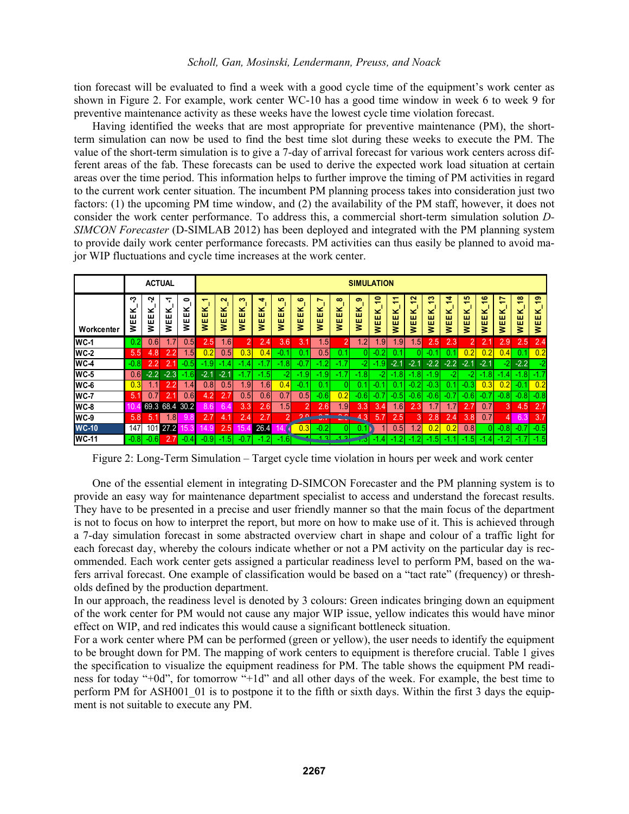tion forecast will be evaluated to find a week with a good cycle time of the equipment's work center as shown in Figure 2. For example, work center WC-10 has a good time window in week 6 to week 9 for preventive maintenance activity as these weeks have the lowest cycle time violation forecast.

Having identified the weeks that are most appropriate for preventive maintenance (PM), the shortterm simulation can now be used to find the best time slot during these weeks to execute the PM. The value of the short-term simulation is to give a 7-day of arrival forecast for various work centers across different areas of the fab. These forecasts can be used to derive the expected work load situation at certain areas over the time period. This information helps to further improve the timing of PM activities in regard to the current work center situation. The incumbent PM planning process takes into consideration just two factors: (1) the upcoming PM time window, and (2) the availability of the PM staff, however, it does not consider the work center performance. To address this, a commercial short-term simulation solution *D-SIMCON Forecaster* (D-SIMLAB 2012) has been deployed and integrated with the PM planning system to provide daily work center performance forecasts. PM activities can thus easily be planned to avoid major WIP fluctuations and cycle time increases at the work center.

|              | <b>ACTUAL</b>    |                     |                  |                          | <b>SIMULATION</b>                       |                       |                 |                                         |                          |                          |                  |                                         |                  |                  |                       |                                                        |                                              |                                              |                       |                            |                       |                              |                            |
|--------------|------------------|---------------------|------------------|--------------------------|-----------------------------------------|-----------------------|-----------------|-----------------------------------------|--------------------------|--------------------------|------------------|-----------------------------------------|------------------|------------------|-----------------------|--------------------------------------------------------|----------------------------------------------|----------------------------------------------|-----------------------|----------------------------|-----------------------|------------------------------|----------------------------|
| Workcenter   | S<br>ш<br>ш<br>⋧ | Ņ٢<br>EK.<br>w<br>3 | ᡪ<br>×<br>ш<br>¥ | $\bullet$<br>⊻<br>ш<br>¥ | $\overline{\phantom{0}}$<br>×<br>ш<br>쀻 | $\sim$<br>×<br>ш<br>¥ | S<br>EK<br>¥    | $\overline{\phantom{a}}$<br>×<br>ш<br>¥ | <b>LO</b><br>×<br>ш<br>¥ | $\bullet$<br>×<br>ш<br>¥ | ∼<br>×<br>ш<br>쁳 | $\infty$<br>×<br>ш<br>₩                 | െ<br>×<br>ш<br>¥ | å<br>EK.<br>¥    | ᡪ<br>÷<br>×<br>ш<br>쁳 | $\sim$<br>$\overline{\phantom{0}}$<br>×<br>ш<br>ш<br>₹ | S<br>$\overline{\phantom{0}}$<br>×<br>ш<br>¥ | 4<br>$\overline{\phantom{0}}$<br>×<br>ш<br>¥ | ю<br>÷<br>×<br>ш<br>¥ | ဖ<br>÷<br>×<br>ш<br>ш<br>3 | 7<br>×<br>ш<br>ш<br>⋧ | $\frac{8}{1}$<br>×<br>ш<br>¥ | ၜ<br>×<br>ш<br>ш<br>$\geq$ |
| $WC-1$       | 0.2              | 0.6                 | 1.7              | 0.5                      | 2.5                                     | 1.6                   | $\overline{2}$  | 2.4                                     | 3.6                      | 3.1                      | 1.5              | $\overline{2}$                          | 1.2              | 1.9 <sub>l</sub> | 1.9                   | .5                                                     | 2.5                                          | 2.3                                          | 2.                    | 2.1                        | 2.9                   | 2.5                          | 2.4                        |
| $WC-2$       | 5.5              | 4.8                 | 2.2              | $\sqrt{5}$               | 0.2                                     | 0.5                   | 0.3             | 0.4                                     | $-0.1$                   | 0.1                      | 0.5              | 0.1                                     |                  | $-0.2$           | 0.1                   | 0                                                      | $-0.1$                                       | 0.1                                          | 0.2                   | 0.2                        | 0.4                   | 0.1                          | 0.2                        |
| $WC-4$       | $-0.8$           | 2.2                 | 2.1              | $-0.5$                   | $-1.9$                                  | $-1.4$                | $-1.4$          | $-1.7$                                  | $-1.8$                   | $-0.7$                   | $-1.2$           | $-1.7$                                  | $-2$             | $-1.9$           | $-2.1$                | $-2.1$                                                 | $-2.2$                                       | $-2.2$                                       | $-2.1$                | $-2.1$                     | $-2$                  | $-2.2$                       | $-2$                       |
| WC-5         | 0.6              | $-2.2$              | $-2.3$           | $-1.6$                   | $-2.1$                                  | $-2.1$                | $-1.7$          | $-1.5$                                  | $-2$                     | $-1.9$                   | $-1.9$           | -1.7                                    | $-1.8$           | -2               | $-1.8$                | $-1.8$                                                 | $-1.9$                                       | -2                                           | -2                    | $-1.8$                     | 4 <br>u1              | $-1.8$                       | $-1.7$                     |
| WC-6         | 0.31             | 1.1                 | 2.2              | 1.4                      | 0.8                                     | 0.5                   | $\overline{.9}$ | $\sqrt{6}$                              | 0.4                      | $-0.1$                   | 0.1              |                                         | 0.1              | $-0.7$           | 0.1                   | $-0.2$                                                 | $-0.3$                                       | 0.1                                          | $-0.3$                | 0.3                        | 0.2                   | $-0.$                        | 0.2                        |
| WC-7         | 5.               | 0.7                 | 2.1              | 0.6                      | 4.2                                     | 2.7                   | 0.5             | 0.6                                     | 0.7                      | 0.5                      | $-0.6$           | 0.2                                     | $-0.6$           | $-0.7$           | $-0.5$                | $-0.6$                                                 | $-0.6$                                       | $-0.7$                                       | $-0.6$                | $-0.7$                     | $-0.8$                | $-0.8$                       | $-0.8$                     |
| WC-8         |                  |                     | 69.3 68.4 30.2   |                          | 8.6                                     | 6.4                   | 3.3             | 2.6                                     | 1.5                      |                          | 2.6              | 1.9                                     | 3.3              | 3.4              | 1.6                   | 2.3                                                    |                                              | 1.7                                          | 2.7                   | 0.7                        | 3                     | 4.5                          | 2.7                        |
| <b>WC-9</b>  | 5.8              | 5.1                 | 1.8              | 9.8                      | 2.7                                     | 4.1                   | 2.4             | 2.7                                     | $\overline{2}$           | 20                       | $\sim$ $-$<br>v. | $\overline{\phantom{a}}$<br><b>City</b> | $\mathbf{3}$     | 5.7              | 2.5                   | 3                                                      | 2.8                                          | 2.4                                          | 3.8                   | 0.7                        | $\overline{4}$        | 6.3                          | 3.7                        |
| <b>WC-10</b> | 147              | 101                 | 27.2             | 15.3                     | 14.9                                    | 2.5                   | 15              | 26.4                                    |                          | 0.3                      | $-0.2$           |                                         | 0.1              | n.               | 0.5                   | $\overline{2}$                                         | 0.2                                          | 0.2                                          | 0.8                   |                            | $-0.8$                | $-0.7$                       | $-0.5$                     |
| <b>WC-11</b> | $-0.8$           | $-0.6$              |                  | $-0.4$                   | $-0.9$                                  | $-1.5$                | $-0.7$          | $-1.2$                                  | $-1.6$                   |                          | <u>1 2 I</u>     | 40 <sub>2</sub>                         | -3               | $-1.4$           | $-1.2$                | $-1.2$                                                 | $\sqrt{5}$<br>-1                             |                                              | $\bullet$<br>-1       | $-1.4$                     | $\overline{2}$<br>-1  | ₹1.                          | $-1.5$                     |

Figure 2: Long-Term Simulation – Target cycle time violation in hours per week and work center

One of the essential element in integrating D-SIMCON Forecaster and the PM planning system is to provide an easy way for maintenance department specialist to access and understand the forecast results. They have to be presented in a precise and user friendly manner so that the main focus of the department is not to focus on how to interpret the report, but more on how to make use of it. This is achieved through a 7-day simulation forecast in some abstracted overview chart in shape and colour of a traffic light for each forecast day, whereby the colours indicate whether or not a PM activity on the particular day is recommended. Each work center gets assigned a particular readiness level to perform PM, based on the wafers arrival forecast. One example of classification would be based on a "tact rate" (frequency) or thresholds defined by the production department.

In our approach, the readiness level is denoted by 3 colours: Green indicates bringing down an equipment of the work center for PM would not cause any major WIP issue, yellow indicates this would have minor effect on WIP, and red indicates this would cause a significant bottleneck situation.

For a work center where PM can be performed (green or yellow), the user needs to identify the equipment to be brought down for PM. The mapping of work centers to equipment is therefore crucial. Table 1 gives the specification to visualize the equipment readiness for PM. The table shows the equipment PM readiness for today "+0d", for tomorrow "+1d" and all other days of the week. For example, the best time to perform PM for ASH001 01 is to postpone it to the fifth or sixth days. Within the first 3 days the equipment is not suitable to execute any PM.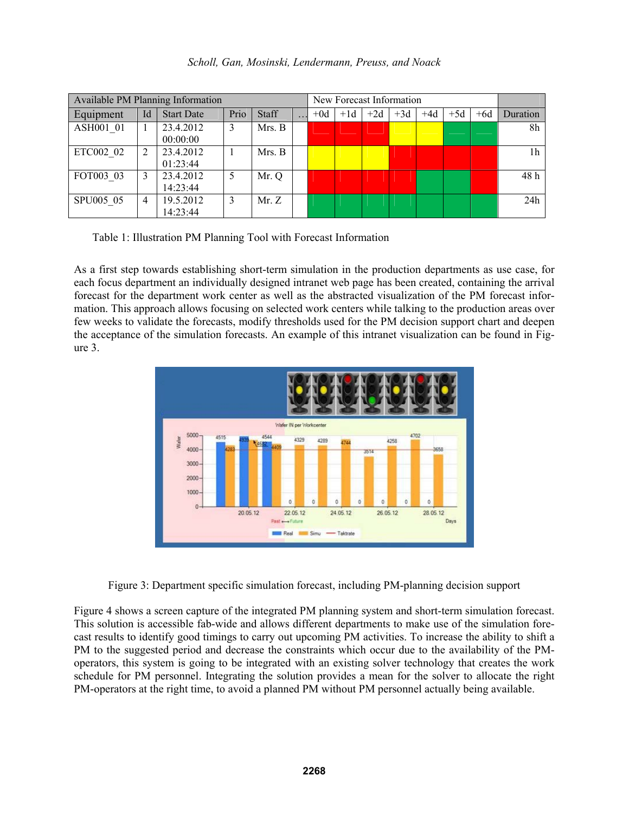| Available PM Planning Information |    |                   |      |        |  |       | New Forecast Information |       |       |       |       |       |          |
|-----------------------------------|----|-------------------|------|--------|--|-------|--------------------------|-------|-------|-------|-------|-------|----------|
| Equipment                         | Id | <b>Start Date</b> | Prio | Staff  |  | $+0d$ | $+1d$                    | $+2d$ | $+3d$ | $+4d$ | $+5d$ | $+6d$ | Duration |
| ASH001 01                         |    | 23.4.2012         | 3    | Mrs. B |  |       |                          |       |       |       |       |       | 8h       |
|                                   |    | 00:00:00          |      |        |  |       |                          |       |       |       |       |       |          |
| ETC002 02                         | 2  | 23.4.2012         |      | Mrs. B |  |       |                          |       |       |       |       |       | 1h       |
|                                   |    | 01:23:44          |      |        |  |       |                          |       |       |       |       |       |          |
| FOT003 03                         | 3  | 23.4.2012         |      | Mr. Q  |  |       |                          |       |       |       |       |       | 48 h     |
|                                   |    | 14:23:44          |      |        |  |       |                          |       |       |       |       |       |          |
| SPU005 05                         | 4  | 19.5.2012         | 3    | Mr. Z  |  |       |                          |       |       |       |       |       | 24h      |
|                                   |    | 14:23:44          |      |        |  |       |                          |       |       |       |       |       |          |

Table 1: Illustration PM Planning Tool with Forecast Information

As a first step towards establishing short-term simulation in the production departments as use case, for each focus department an individually designed intranet web page has been created, containing the arrival forecast for the department work center as well as the abstracted visualization of the PM forecast information. This approach allows focusing on selected work centers while talking to the production areas over few weeks to validate the forecasts, modify thresholds used for the PM decision support chart and deepen the acceptance of the simulation forecasts. An example of this intranet visualization can be found in Figure 3.



Figure 3: Department specific simulation forecast, including PM-planning decision support

Figure 4 shows a screen capture of the integrated PM planning system and short-term simulation forecast. This solution is accessible fab-wide and allows different departments to make use of the simulation forecast results to identify good timings to carry out upcoming PM activities. To increase the ability to shift a PM to the suggested period and decrease the constraints which occur due to the availability of the PMoperators, this system is going to be integrated with an existing solver technology that creates the work schedule for PM personnel. Integrating the solution provides a mean for the solver to allocate the right PM-operators at the right time, to avoid a planned PM without PM personnel actually being available.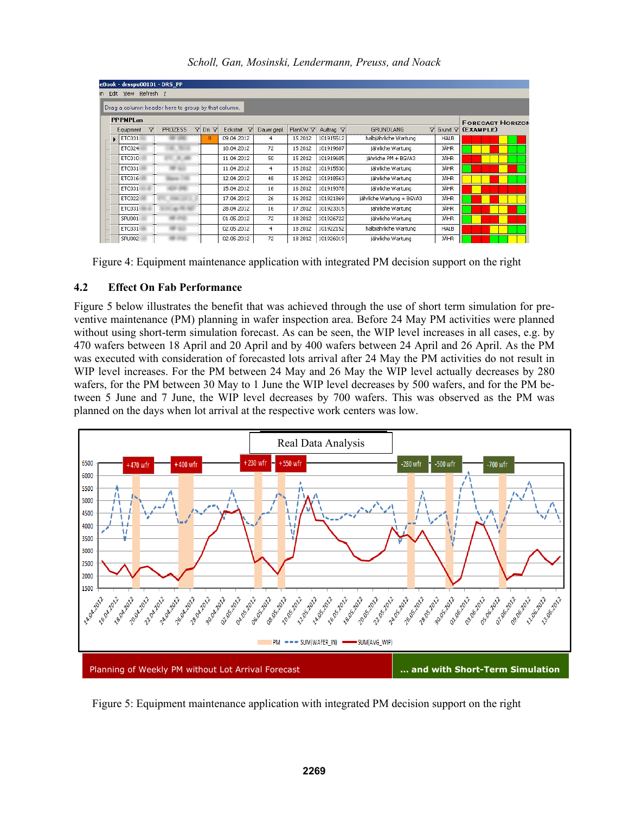|     | eBook - drsspu00101 - DRS PP |                                                    |            |                |          |           |                           |                         |                         |
|-----|------------------------------|----------------------------------------------------|------------|----------------|----------|-----------|---------------------------|-------------------------|-------------------------|
| in. | Edit<br>View Refresh ?       |                                                    |            |                |          |           |                           |                         |                         |
|     |                              | Drag a column header here to group by that column. |            |                |          |           |                           |                         |                         |
|     | <b>PPPMPLan</b>              |                                                    |            |                |          |           |                           |                         | <b>FORECAST HORIZON</b> |
|     | Equipment<br>$\triangledown$ | <b>PROZESS</b><br>$\nabla$ Dri. $\nabla$           | Eckstart V | Dauer gepl.    | PlanKW Y | Auftrag Y | <b>GRUNDLANG</b>          | $\nabla$ Grund $\nabla$ | (EXAMPLE)               |
|     | $\blacktriangleright$ ETC031 | н                                                  | 09.04.2012 | 4              | 15 2012  | 101915512 | halbjährliche Wartung     | <b>HALB</b>             |                         |
|     | ETC024                       |                                                    | 10.04.2012 | 72             | 15 2012  | 101919607 | jährliche Wartung         | <b>JÄHR</b>             |                         |
|     | ETC010                       |                                                    | 11.04.2012 | 50             | 15 2012  | 101919605 | iährliche PM + BGVA3      | <b>JÄHR</b>             |                         |
|     | ETC031                       |                                                    | 11.04.2012 | $\overline{4}$ | 15 2012  | 101915530 | jährliche Wartung         | <b>JÄHR</b>             |                         |
|     | ETC016                       |                                                    | 12.04.2012 | 48             | 15 2012  | 101918563 | jährliche Wartung         | <b>JÄHR</b>             |                         |
|     | ETC031                       |                                                    | 15.04.2012 | 16             | 16 2012  | 101919378 | jährliche Wartung         | <b>JÄHR</b>             |                         |
|     | ETC022                       |                                                    | 17.04.2012 | 26             | 16 2012  | 101921869 | jährliche Wartung + BGVA3 | <b>JÄHR</b>             |                         |
|     | ETC031                       |                                                    | 28.04.2012 | 16             | 17 2012  | 101923315 | jährliche Wartung         | <b>JÄHR</b>             |                         |
|     | <b>SPU001</b>                |                                                    | 01.05.2012 | 72             | 18 20 12 | 101926722 | jährliche Wartung         | <b>JÄHR</b>             |                         |
|     | ETC031                       |                                                    | 02.05.2012 | $\overline{4}$ | 18 20 12 | 101922152 | halbiährliche Wartung     | <b>HALB</b>             |                         |
|     | SPU002                       |                                                    | 02.05.2012 | 72             | 18 20 12 | 101926019 | jährliche Wartung         | <b>JÄHR</b>             |                         |

*Scholl, Gan, Mosinski, Lendermann, Preuss, and Noack* 

Figure 4: Equipment maintenance application with integrated PM decision support on the right

# **4.2 Effect On Fab Performance**

Figure 5 below illustrates the benefit that was achieved through the use of short term simulation for preventive maintenance (PM) planning in wafer inspection area. Before 24 May PM activities were planned without using short-term simulation forecast. As can be seen, the WIP level increases in all cases, e.g. by 470 wafers between 18 April and 20 April and by 400 wafers between 24 April and 26 April. As the PM was executed with consideration of forecasted lots arrival after 24 May the PM activities do not result in WIP level increases. For the PM between 24 May and 26 May the WIP level actually decreases by 280 wafers, for the PM between 30 May to 1 June the WIP level decreases by 500 wafers, and for the PM between 5 June and 7 June, the WIP level decreases by 700 wafers. This was observed as the PM was planned on the days when lot arrival at the respective work centers was low.



Figure 5: Equipment maintenance application with integrated PM decision support on the right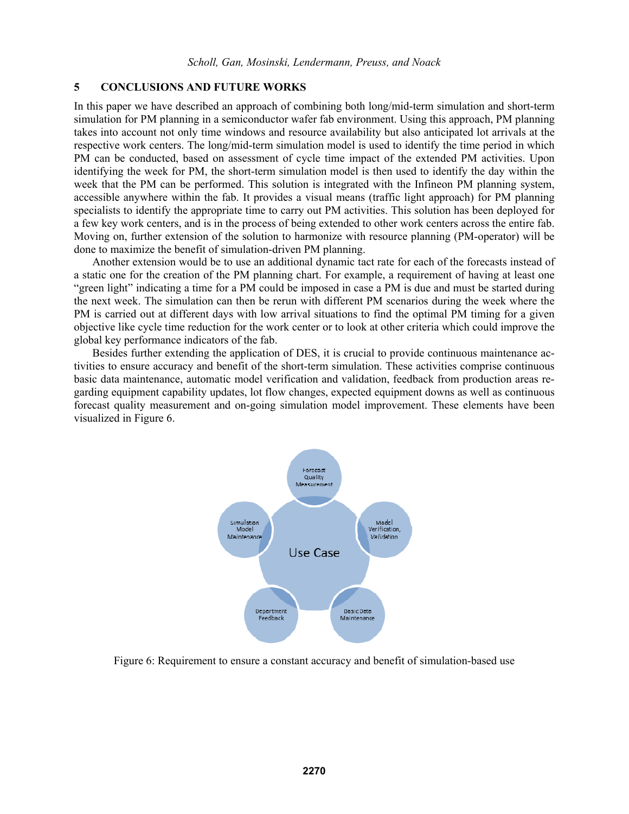# **5 CONCLUSIONS AND FUTURE WORKS**

In this paper we have described an approach of combining both long/mid-term simulation and short-term simulation for PM planning in a semiconductor wafer fab environment. Using this approach, PM planning takes into account not only time windows and resource availability but also anticipated lot arrivals at the respective work centers. The long/mid-term simulation model is used to identify the time period in which PM can be conducted, based on assessment of cycle time impact of the extended PM activities. Upon identifying the week for PM, the short-term simulation model is then used to identify the day within the week that the PM can be performed. This solution is integrated with the Infineon PM planning system, accessible anywhere within the fab. It provides a visual means (traffic light approach) for PM planning specialists to identify the appropriate time to carry out PM activities. This solution has been deployed for a few key work centers, and is in the process of being extended to other work centers across the entire fab. Moving on, further extension of the solution to harmonize with resource planning (PM-operator) will be done to maximize the benefit of simulation-driven PM planning.

Another extension would be to use an additional dynamic tact rate for each of the forecasts instead of a static one for the creation of the PM planning chart. For example, a requirement of having at least one "green light" indicating a time for a PM could be imposed in case a PM is due and must be started during the next week. The simulation can then be rerun with different PM scenarios during the week where the PM is carried out at different days with low arrival situations to find the optimal PM timing for a given objective like cycle time reduction for the work center or to look at other criteria which could improve the global key performance indicators of the fab.

Besides further extending the application of DES, it is crucial to provide continuous maintenance activities to ensure accuracy and benefit of the short-term simulation. These activities comprise continuous basic data maintenance, automatic model verification and validation, feedback from production areas regarding equipment capability updates, lot flow changes, expected equipment downs as well as continuous forecast quality measurement and on-going simulation model improvement. These elements have been visualized in Figure 6.



Figure 6: Requirement to ensure a constant accuracy and benefit of simulation-based use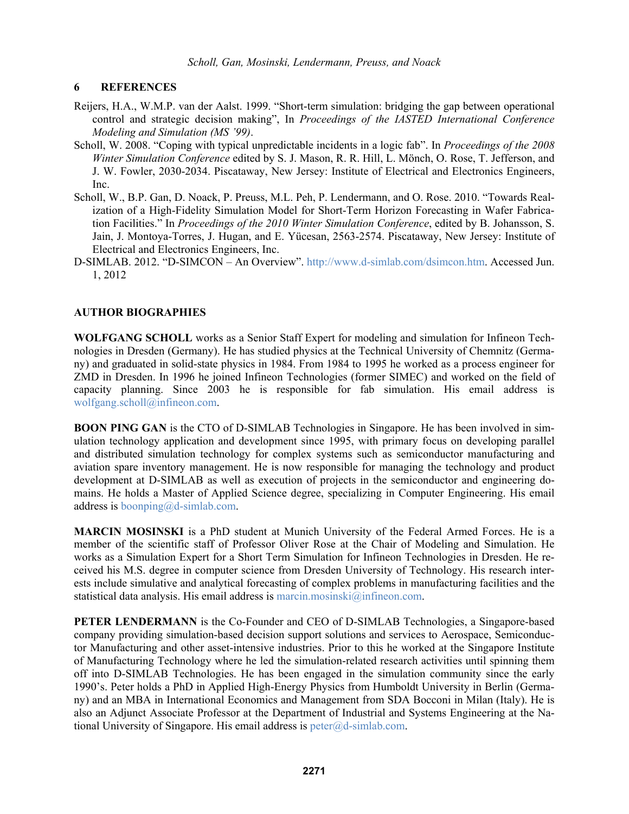# **6 REFERENCES**

- Reijers, H.A., W.M.P. van der Aalst. 1999. "Short-term simulation: bridging the gap between operational control and strategic decision making", In *Proceedings of the IASTED International Conference Modeling and Simulation (MS '99)*.
- Scholl, W. 2008. "Coping with typical unpredictable incidents in a logic fab". In *Proceedings of the 2008 Winter Simulation Conference* edited by S. J. Mason, R. R. Hill, L. Mönch, O. Rose, T. Jefferson, and J. W. Fowler, 2030-2034. Piscataway, New Jersey: Institute of Electrical and Electronics Engineers, Inc.
- Scholl, W., B.P. Gan, D. Noack, P. Preuss, M.L. Peh, P. Lendermann, and O. Rose. 2010. "Towards Realization of a High-Fidelity Simulation Model for Short-Term Horizon Forecasting in Wafer Fabrication Facilities." In *Proceedings of the 2010 Winter Simulation Conference*, edited by B. Johansson, S. Jain, J. Montoya-Torres, J. Hugan, and E. Yücesan, 2563-2574. Piscataway, New Jersey: Institute of Electrical and Electronics Engineers, Inc.
- D-SIMLAB. 2012. "D-SIMCON An Overview". http://www.d-simlab.com/dsimcon.htm. Accessed Jun. 1, 2012

# **AUTHOR BIOGRAPHIES**

**WOLFGANG SCHOLL** works as a Senior Staff Expert for modeling and simulation for Infineon Technologies in Dresden (Germany). He has studied physics at the Technical University of Chemnitz (Germany) and graduated in solid-state physics in 1984. From 1984 to 1995 he worked as a process engineer for ZMD in Dresden. In 1996 he joined Infineon Technologies (former SIMEC) and worked on the field of capacity planning. Since 2003 he is responsible for fab simulation. His email address is wolfgang.scholl@infineon.com.

**BOON PING GAN** is the CTO of D-SIMLAB Technologies in Singapore. He has been involved in simulation technology application and development since 1995, with primary focus on developing parallel and distributed simulation technology for complex systems such as semiconductor manufacturing and aviation spare inventory management. He is now responsible for managing the technology and product development at D-SIMLAB as well as execution of projects in the semiconductor and engineering domains. He holds a Master of Applied Science degree, specializing in Computer Engineering. His email address is boonping@d-simlab.com.

**MARCIN MOSINSKI** is a PhD student at Munich University of the Federal Armed Forces. He is a member of the scientific staff of Professor Oliver Rose at the Chair of Modeling and Simulation. He works as a Simulation Expert for a Short Term Simulation for Infineon Technologies in Dresden. He received his M.S. degree in computer science from Dresden University of Technology. His research interests include simulative and analytical forecasting of complex problems in manufacturing facilities and the statistical data analysis. His email address is marcin.mosinski@infineon.com.

**PETER LENDERMANN** is the Co-Founder and CEO of D-SIMLAB Technologies, a Singapore-based company providing simulation-based decision support solutions and services to Aerospace, Semiconductor Manufacturing and other asset-intensive industries. Prior to this he worked at the Singapore Institute of Manufacturing Technology where he led the simulation-related research activities until spinning them off into D-SIMLAB Technologies. He has been engaged in the simulation community since the early 1990's. Peter holds a PhD in Applied High-Energy Physics from Humboldt University in Berlin (Germany) and an MBA in International Economics and Management from SDA Bocconi in Milan (Italy). He is also an Adjunct Associate Professor at the Department of Industrial and Systems Engineering at the National University of Singapore. His email address is peter@d-simlab.com.